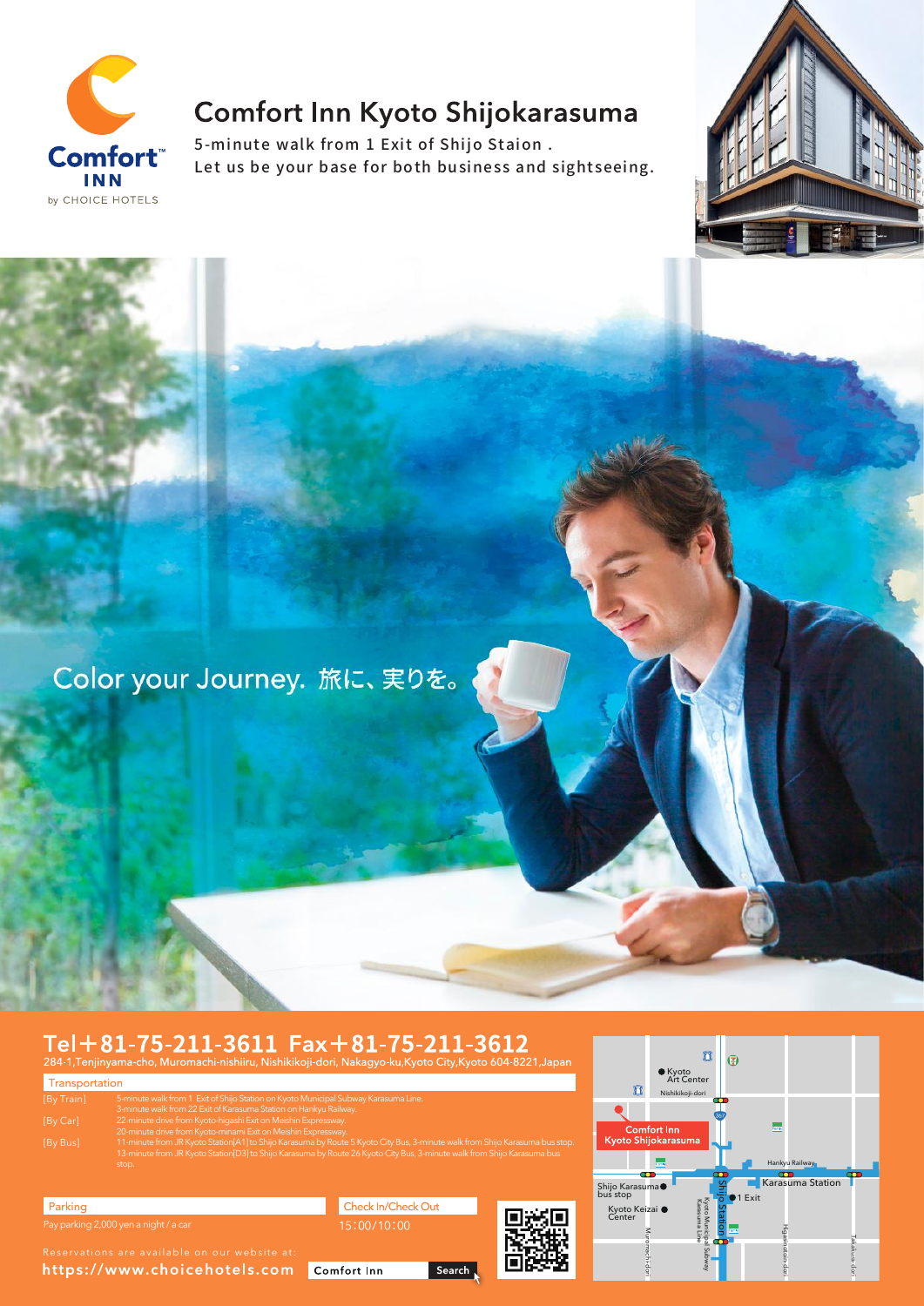

# Comfort Inn Kyoto Shijokarasuma

5-minute walk from 1 Exit of Shijo Staion . Let us be your base for both business and sightseeing.



Color your Journey. 旅に、実りを。

# Tel+81-75-211-3611 Fax+81-75-211-3612

| Transportation |                                                                                                                                                                                                                                                                  |
|----------------|------------------------------------------------------------------------------------------------------------------------------------------------------------------------------------------------------------------------------------------------------------------|
| [By Train]     | 5-minute walk from 1 Exit of Shijo Station on Kyoto Municipal Subway Karasuma Line.<br>3-minute walk from 22 Exit of Karasuma Station on Hankyu Railway.                                                                                                         |
| [By Car]       | 22-minute drive from Kyoto-higashi Exit on Meishin Expressway.<br>20-minute drive from Kyoto-minami Exit on Meishin Expressway.                                                                                                                                  |
| [By Bus]       | 11-minute from JR Kyoto Station[A1] to Shijo Karasuma by Route 5 Kyoto City Bus, 3-minute walk from Shijo Karasuma bus stop.<br>13-minute from JR Kyoto Station[D3] to Shijo Karasuma by Route 26 Kyoto City Bus, 3-minute walk from Shijo Karasuma bus<br>stop. |
|                |                                                                                                                                                                                                                                                                  |



https://www.choicehotels.com

Parking

Check In/Check Out

Comfort Inn

Search